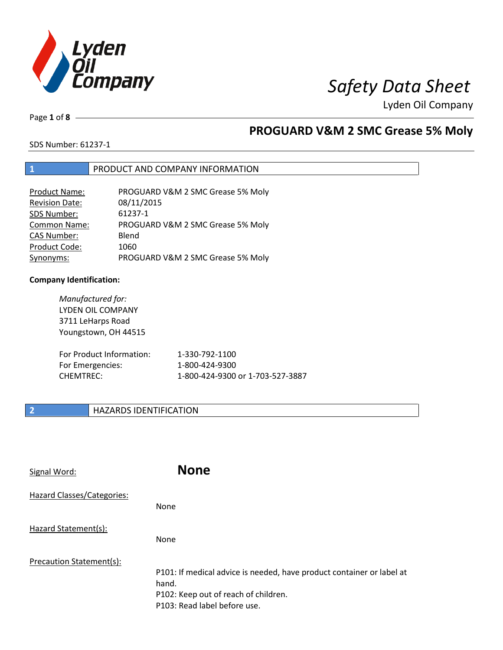

# *Safety Data Sheet*

Lyden Oil Company

Page **1** of **8**

## **PROGUARD V&M 2 SMC Grease 5% Moly**

SDS Number: 61237-1

## **1** PRODUCT AND COMPANY INFORMATION

| <b>Product Name:</b>  | PROGUARD V&M 2 SMC Grease 5% Moly |
|-----------------------|-----------------------------------|
| <b>Revision Date:</b> | 08/11/2015                        |
| SDS Number:           | 61237-1                           |
| Common Name:          | PROGUARD V&M 2 SMC Grease 5% Moly |
| <b>CAS Number:</b>    | Blend                             |
| Product Code:         | 1060                              |
| Synonyms:             | PROGUARD V&M 2 SMC Grease 5% Moly |

### **Company Identification:**

| Manufactured for:<br>LYDEN OIL COMPANY<br>3711 LeHarps Road<br>Youngstown, OH 44515 |                                  |
|-------------------------------------------------------------------------------------|----------------------------------|
| For Product Information:                                                            | 1-330-792-1100                   |
| For Emergencies:                                                                    | 1-800-424-9300                   |
| <b>CHEMTREC:</b>                                                                    | 1-800-424-9300 or 1-703-527-3887 |

## **2 HAZARDS IDENTIFICATION**

| Signal Word:               | <b>None</b>                                                                                                                                            |
|----------------------------|--------------------------------------------------------------------------------------------------------------------------------------------------------|
| Hazard Classes/Categories: | None                                                                                                                                                   |
| Hazard Statement(s):       | <b>None</b>                                                                                                                                            |
| Precaution Statement(s):   | P101: If medical advice is needed, have product container or label at<br>hand.<br>P102: Keep out of reach of children.<br>P103: Read label before use. |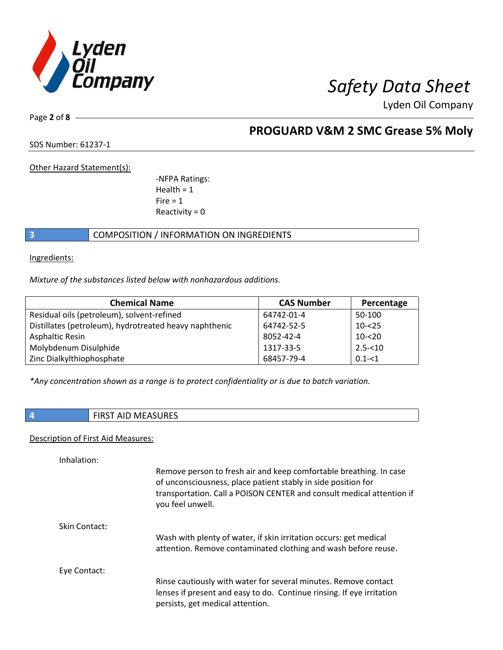

Page **2** of **8**

## **PROGUARD V&M 2 SMC Grease 5% Moly**

SDS Number: 61237-1

Other Hazard Statement(s):

-NFPA Ratings:  $Health = 1$  $Fire = 1$ Reactivity  $= 0$ 

## **3** COMPOSITION / INFORMATION ON INGREDIENTS

Ingredients:

*Mixture of the substances listed below with nonhazardous additions.*

| <b>Chemical Name</b>                                   | <b>CAS Number</b> | Percentage |
|--------------------------------------------------------|-------------------|------------|
| Residual oils (petroleum), solvent-refined             | 64742-01-4        | 50-100     |
| Distillates (petroleum), hydrotreated heavy naphthenic | 64742-52-5        | $10 - 25$  |
| Asphaltic Resin                                        | 8052-42-4         | $10 - 20$  |
| Molybdenum Disulphide                                  | 1317-33-5         | $2.5 - 10$ |
| Zinc Dialkylthiophosphate                              | 68457-79-4        | $0.1 - 51$ |

*\*Any concentration shown as a range is to protect confidentiality or is due to batch variation.*

## **4** FIRST AID MEASURES

### Description of First Aid Measures:

| Inhalation:   |                                                                                                                                                                                                                                  |
|---------------|----------------------------------------------------------------------------------------------------------------------------------------------------------------------------------------------------------------------------------|
|               | Remove person to fresh air and keep comfortable breathing. In case<br>of unconsciousness, place patient stably in side position for<br>transportation. Call a POISON CENTER and consult medical attention if<br>you feel unwell. |
| Skin Contact: |                                                                                                                                                                                                                                  |
|               | Wash with plenty of water, if skin irritation occurs: get medical<br>attention. Remove contaminated clothing and wash before reuse.                                                                                              |
| Eye Contact:  |                                                                                                                                                                                                                                  |
|               | Rinse cautiously with water for several minutes. Remove contact<br>lenses if present and easy to do. Continue rinsing. If eye irritation<br>persists, get medical attention.                                                     |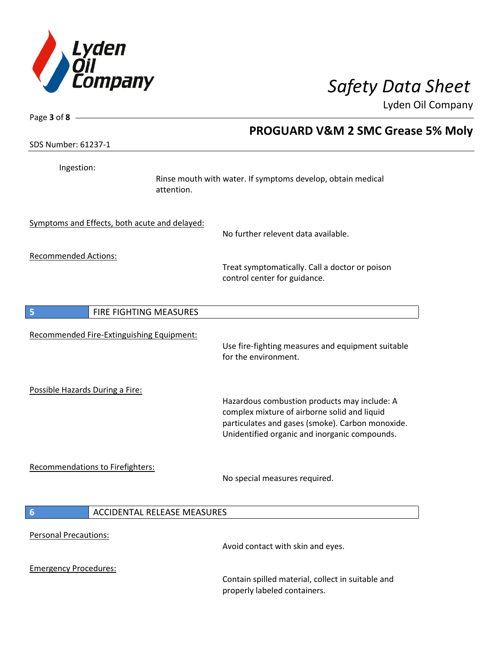

| Page $3$ of $8$ -                             |                                                                                                                                                                                                   |
|-----------------------------------------------|---------------------------------------------------------------------------------------------------------------------------------------------------------------------------------------------------|
|                                               | <b>PROGUARD V&amp;M 2 SMC Grease 5% Moly</b>                                                                                                                                                      |
| SDS Number: 61237-1                           |                                                                                                                                                                                                   |
| Ingestion:<br>attention.                      | Rinse mouth with water. If symptoms develop, obtain medical                                                                                                                                       |
| Symptoms and Effects, both acute and delayed: | No further relevent data available.                                                                                                                                                               |
| <b>Recommended Actions:</b>                   | Treat symptomatically. Call a doctor or poison<br>control center for guidance.                                                                                                                    |
| FIRE FIGHTING MEASURES<br>5                   |                                                                                                                                                                                                   |
| Recommended Fire-Extinguishing Equipment:     | Use fire-fighting measures and equipment suitable<br>for the environment.                                                                                                                         |
| Possible Hazards During a Fire:               | Hazardous combustion products may include: A<br>complex mixture of airborne solid and liquid<br>particulates and gases (smoke). Carbon monoxide.<br>Unidentified organic and inorganic compounds. |
| Recommendations to Firefighters:              | No special measures required.                                                                                                                                                                     |
| <b>ACCIDENTAL RELEASE MEASURES</b><br>6       |                                                                                                                                                                                                   |
| <b>Personal Precautions:</b>                  | Avoid contact with skin and eyes.                                                                                                                                                                 |
| <b>Emergency Procedures:</b>                  | Contain spilled material, collect in suitable and<br>properly labeled containers.                                                                                                                 |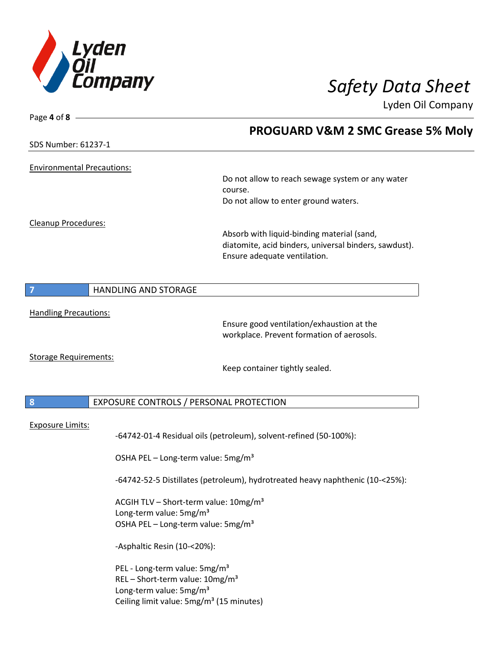

| Page 4 of $8 -$                   |                                                                               |                                                                   |
|-----------------------------------|-------------------------------------------------------------------------------|-------------------------------------------------------------------|
|                                   |                                                                               | PROGUARD V&M 2 SMC Grease 5% Moly                                 |
| SDS Number: 61237-1               |                                                                               |                                                                   |
|                                   |                                                                               |                                                                   |
| <b>Environmental Precautions:</b> |                                                                               |                                                                   |
|                                   |                                                                               | Do not allow to reach sewage system or any water                  |
|                                   |                                                                               | course.                                                           |
|                                   |                                                                               | Do not allow to enter ground waters.                              |
| <b>Cleanup Procedures:</b>        |                                                                               |                                                                   |
|                                   |                                                                               | Absorb with liquid-binding material (sand,                        |
|                                   |                                                                               | diatomite, acid binders, universal binders, sawdust).             |
|                                   |                                                                               | Ensure adequate ventilation.                                      |
|                                   |                                                                               |                                                                   |
|                                   |                                                                               |                                                                   |
| 7                                 | HANDLING AND STORAGE                                                          |                                                                   |
| <b>Handling Precautions:</b>      |                                                                               |                                                                   |
|                                   |                                                                               | Ensure good ventilation/exhaustion at the                         |
|                                   |                                                                               | workplace. Prevent formation of aerosols.                         |
|                                   |                                                                               |                                                                   |
| <b>Storage Requirements:</b>      |                                                                               |                                                                   |
|                                   |                                                                               | Keep container tightly sealed.                                    |
|                                   |                                                                               |                                                                   |
| 8                                 | EXPOSURE CONTROLS / PERSONAL PROTECTION                                       |                                                                   |
|                                   |                                                                               |                                                                   |
| <b>Exposure Limits:</b>           |                                                                               |                                                                   |
|                                   |                                                                               | -64742-01-4 Residual oils (petroleum), solvent-refined (50-100%): |
|                                   |                                                                               |                                                                   |
|                                   | OSHA PEL - Long-term value: 5mg/m <sup>3</sup>                                |                                                                   |
|                                   | -64742-52-5 Distillates (petroleum), hydrotreated heavy naphthenic (10-<25%): |                                                                   |
|                                   | ACGIH TLV - Short-term value: 10mg/m <sup>3</sup>                             |                                                                   |
|                                   | Long-term value: 5mg/m <sup>3</sup>                                           |                                                                   |
|                                   | OSHA PEL - Long-term value: 5mg/m <sup>3</sup>                                |                                                                   |
|                                   | -Asphaltic Resin (10-<20%):                                                   |                                                                   |
|                                   | PEL - Long-term value: 5mg/m <sup>3</sup>                                     |                                                                   |
|                                   | REL - Short-term value: $10mg/m^3$                                            |                                                                   |
|                                   | Long-term value: 5mg/m <sup>3</sup>                                           |                                                                   |
|                                   | Ceiling limit value: 5mg/m <sup>3</sup> (15 minutes)                          |                                                                   |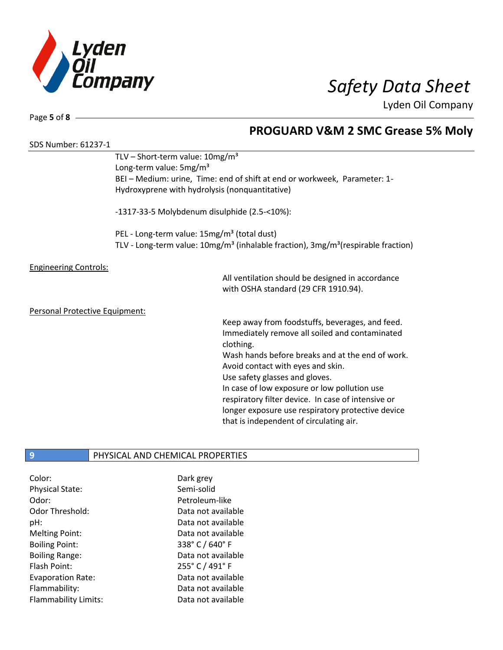

Page **5** of **8**

## **PROGUARD V&M 2 SMC Grease 5% Moly**

| SDS Number: 61237-1            |                                                                                                           |                                                                           |  |
|--------------------------------|-----------------------------------------------------------------------------------------------------------|---------------------------------------------------------------------------|--|
|                                | TLV – Short-term value: $10mg/m^3$                                                                        |                                                                           |  |
|                                | Long-term value: 5mg/m <sup>3</sup>                                                                       |                                                                           |  |
|                                |                                                                                                           | BEI - Medium: urine, Time: end of shift at end or workweek, Parameter: 1- |  |
|                                | Hydroxyprene with hydrolysis (nonquantitative)                                                            |                                                                           |  |
|                                | -1317-33-5 Molybdenum disulphide (2.5-<10%):                                                              |                                                                           |  |
|                                | PEL - Long-term value: 15mg/m <sup>3</sup> (total dust)                                                   |                                                                           |  |
|                                | TLV - Long-term value: 10mg/m <sup>3</sup> (inhalable fraction), 3mg/m <sup>3</sup> (respirable fraction) |                                                                           |  |
| <b>Engineering Controls:</b>   |                                                                                                           |                                                                           |  |
|                                |                                                                                                           | All ventilation should be designed in accordance                          |  |
|                                |                                                                                                           | with OSHA standard (29 CFR 1910.94).                                      |  |
| Personal Protective Equipment: |                                                                                                           |                                                                           |  |
|                                |                                                                                                           | Keep away from foodstuffs, beverages, and feed.                           |  |
|                                |                                                                                                           | Immediately remove all soiled and contaminated                            |  |
|                                |                                                                                                           | clothing.                                                                 |  |
|                                |                                                                                                           |                                                                           |  |
|                                |                                                                                                           | Wash hands before breaks and at the end of work.                          |  |
|                                |                                                                                                           | Avoid contact with eyes and skin.                                         |  |
|                                |                                                                                                           | Use safety glasses and gloves.                                            |  |
|                                |                                                                                                           | In case of low exposure or low pollution use                              |  |
|                                |                                                                                                           | respiratory filter device. In case of intensive or                        |  |
|                                |                                                                                                           | longer exposure use respiratory protective device                         |  |

that is independent of circulating air.

## **9** PHYSICAL AND CHEMICAL PROPERTIES

| Color:                      | Dark grey          |
|-----------------------------|--------------------|
| <b>Physical State:</b>      | Semi-solid         |
| Odor:                       | Petroleum-like     |
| Odor Threshold:             | Data not available |
| pH:                         | Data not available |
| <b>Melting Point:</b>       | Data not available |
| <b>Boiling Point:</b>       | 338° C / 640° F    |
| <b>Boiling Range:</b>       | Data not available |
| Flash Point:                | 255° C / 491° F    |
| Evaporation Rate:           | Data not available |
| Flammability:               | Data not available |
| <b>Flammability Limits:</b> | Data not available |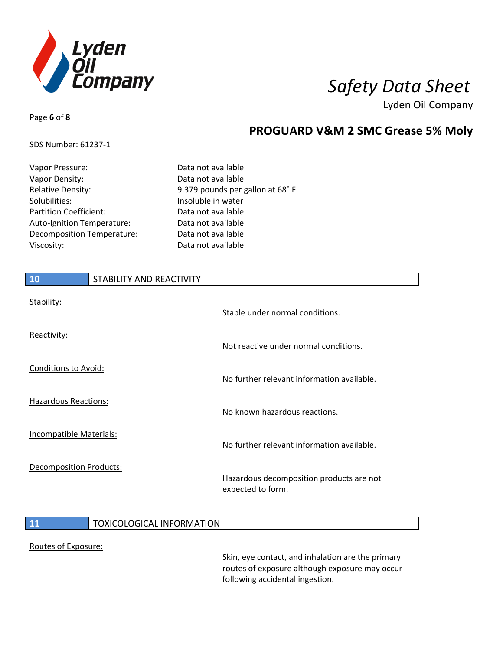

# Page **6** of **8**

## **PROGUARD V&M 2 SMC Grease 5% Moly**

## SDS Number: 61237-1

| Vapor Pressure:               | Data not available              |
|-------------------------------|---------------------------------|
| Vapor Density:                | Data not available              |
| <b>Relative Density:</b>      | 9.379 pounds per gallon at 68°F |
| Solubilities:                 | Insoluble in water              |
| <b>Partition Coefficient:</b> | Data not available              |
| Auto-Ignition Temperature:    | Data not available              |
| Decomposition Temperature:    | Data not available              |
| Viscosity:                    | Data not available              |
|                               |                                 |

| 10                             | STABILITY AND REACTIVITY |                                                               |
|--------------------------------|--------------------------|---------------------------------------------------------------|
| Stability:                     |                          | Stable under normal conditions.                               |
| Reactivity:                    |                          | Not reactive under normal conditions.                         |
| <b>Conditions to Avoid:</b>    |                          | No further relevant information available.                    |
| <b>Hazardous Reactions:</b>    |                          | No known hazardous reactions.                                 |
| Incompatible Materials:        |                          | No further relevant information available.                    |
| <b>Decomposition Products:</b> |                          | Hazardous decomposition products are not<br>expected to form. |

### **11 TOXICOLOGICAL INFORMATION**

### Routes of Exposure:

Skin, eye contact, and inhalation are the primary routes of exposure although exposure may occur following accidental ingestion.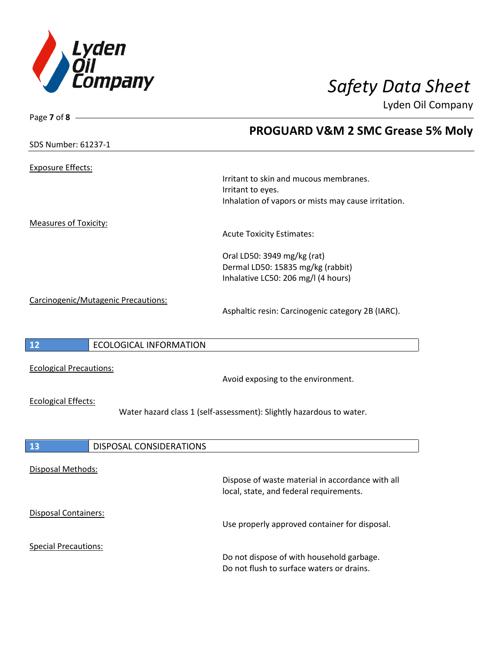

| Page $7$ of $8$ -              |                                     |                                                                                             |
|--------------------------------|-------------------------------------|---------------------------------------------------------------------------------------------|
|                                |                                     | <b>PROGUARD V&amp;M 2 SMC Grease 5% Moly</b>                                                |
| SDS Number: 61237-1            |                                     |                                                                                             |
|                                |                                     |                                                                                             |
| <b>Exposure Effects:</b>       |                                     |                                                                                             |
|                                |                                     | Irritant to skin and mucous membranes.                                                      |
|                                |                                     | Irritant to eyes.                                                                           |
|                                |                                     | Inhalation of vapors or mists may cause irritation.                                         |
| <b>Measures of Toxicity:</b>   |                                     |                                                                                             |
|                                |                                     | <b>Acute Toxicity Estimates:</b>                                                            |
|                                |                                     | Oral LD50: 3949 mg/kg (rat)                                                                 |
|                                |                                     | Dermal LD50: 15835 mg/kg (rabbit)                                                           |
|                                |                                     | Inhalative LC50: 206 mg/l (4 hours)                                                         |
|                                |                                     |                                                                                             |
|                                | Carcinogenic/Mutagenic Precautions: | Asphaltic resin: Carcinogenic category 2B (IARC).                                           |
|                                |                                     |                                                                                             |
|                                |                                     |                                                                                             |
| 12                             | <b>ECOLOGICAL INFORMATION</b>       |                                                                                             |
|                                |                                     |                                                                                             |
| <b>Ecological Precautions:</b> |                                     | Avoid exposing to the environment.                                                          |
|                                |                                     |                                                                                             |
| <b>Ecological Effects:</b>     |                                     |                                                                                             |
|                                |                                     | Water hazard class 1 (self-assessment): Slightly hazardous to water.                        |
|                                |                                     |                                                                                             |
| 13                             | DISPOSAL CONSIDERATIONS             |                                                                                             |
|                                |                                     |                                                                                             |
| Disposal Methods:              |                                     |                                                                                             |
|                                |                                     | Dispose of waste material in accordance with all<br>local, state, and federal requirements. |
|                                |                                     |                                                                                             |
| Disposal Containers:           |                                     |                                                                                             |
|                                |                                     | Use properly approved container for disposal.                                               |
| <b>Special Precautions:</b>    |                                     |                                                                                             |
|                                |                                     | Do not dispose of with household garbage.                                                   |
|                                |                                     | Do not flush to surface waters or drains.                                                   |